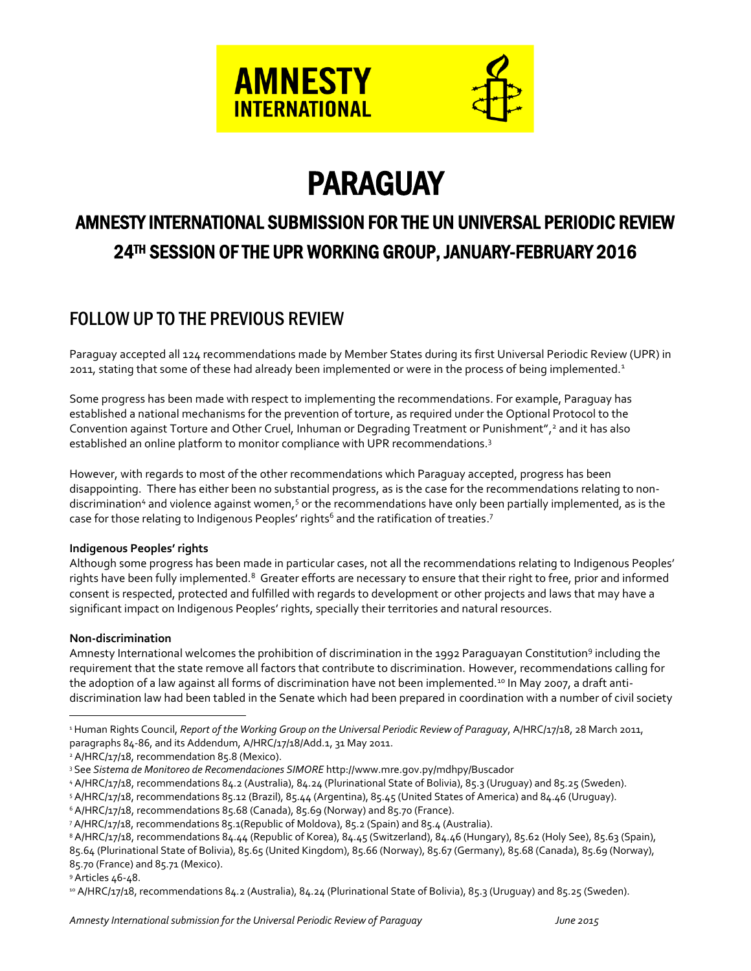

# PARAGUAY

# AMNESTY INTERNATIONAL SUBMISSION FOR THE UN UNIVERSAL PERIODIC REVIEW 24TH SESSION OF THE UPR WORKING GROUP, JANUARY-FEBRUARY 2016

# FOLLOW UP TO THE PREVIOUS REVIEW

Paraguay accepted all 124 recommendations made by Member States during its first Universal Periodic Review (UPR) in 2011, stating that some of these had already been implemented or were in the process of being implemented.<sup>1</sup>

Some progress has been made with respect to implementing the recommendations. For example, Paraguay has established a national mechanisms for the prevention of torture, as required under the Optional Protocol to the Convention against Torture and Other Cruel, Inhuman or Degrading Treatment or Punishment",<sup>2</sup> and it has also established an online platform to monitor compliance with UPR recommendations.<sup>3</sup>

However, with regards to most of the other recommendations which Paraguay accepted, progress has been disappointing. There has either been no substantial progress, as is the case for the recommendations relating to nondiscrimination<sup>4</sup> and violence against women,<sup>5</sup> or the recommendations have only been partially implemented, as is the case for those relating to Indigenous Peoples' rights $^6$  and the ratification of treaties. $^7$ 

#### **Indigenous Peoples' rights**

Although some progress has been made in particular cases, not all the recommendations relating to Indigenous Peoples' rights have been fully implemented.<sup>8</sup> Greater efforts are necessary to ensure that their right to free, prior and informed consent is respected, protected and fulfilled with regards to development or other projects and laws that may have a significant impact on Indigenous Peoples' rights, specially their territories and natural resources.

#### **Non-discrimination**

 $\overline{a}$ 

Amnesty International welcomes the prohibition of discrimination in the 1992 Paraguayan Constitution<sup>9</sup> including the requirement that the state remove all factors that contribute to discrimination. However, recommendations calling for the adoption of a law against all forms of discrimination have not been implemented.<sup>10</sup> In May 2007, a draft antidiscrimination law had been tabled in the Senate which had been prepared in coordination with a number of civil society

<sup>2</sup> A/HRC/17/18, recommendation 85.8 (Mexico).

<sup>4</sup> A/HRC/17/18, recommendations 84.2 (Australia), 84.24 (Plurinational State of Bolivia), 85.3 (Uruguay) and 85.25 (Sweden).

<sup>5</sup> A/HRC/17/18, recommendations 85.12 (Brazil), 85.44 (Argentina), 85.45 (United States of America) and 84.46 (Uruguay).

<sup>9</sup> Articles 46-48.

<sup>10</sup> A/HRC/17/18, recommendations 84.2 (Australia), 84.24 (Plurinational State of Bolivia), 85.3 (Uruguay) and 85.25 (Sweden).

<sup>&</sup>lt;sup>1</sup> Human Rights Council, *Report of the Working Group on the Universal Periodic Review of Paraguay*, A/HRC/17/18, 28 March 2011, paragraphs 84-86, and its Addendum, A/HRC/17/18/Add.1, 31 May 2011.

<sup>3</sup> See *Sistema de Monitoreo de Recomendaciones SIMORE* <http://www.mre.gov.py/mdhpy/Buscador>

<sup>&</sup>lt;sup>6</sup> A/HRC/17/18, recommendations 85.68 (Canada), 85.69 (Norway) and 85.70 (France).

<sup>7</sup> A/HRC/17/18, recommendations 85.1(Republic of Moldova), 85.2 (Spain) and 85.4 (Australia).

<sup>&</sup>lt;sup>8</sup> A/HRC/17/18, recommendations 84.44 (Republic of Korea), 84.45 (Switzerland), 84.46 (Hungary), 85.62 (Holy See), 85.63 (Spain), 85.64 (Plurinational State of Bolivia), 85.65 (United Kingdom), 85.66 (Norway), 85.67 (Germany), 85.68 (Canada), 85.69 (Norway), 85.70 (France) and 85.71 (Mexico).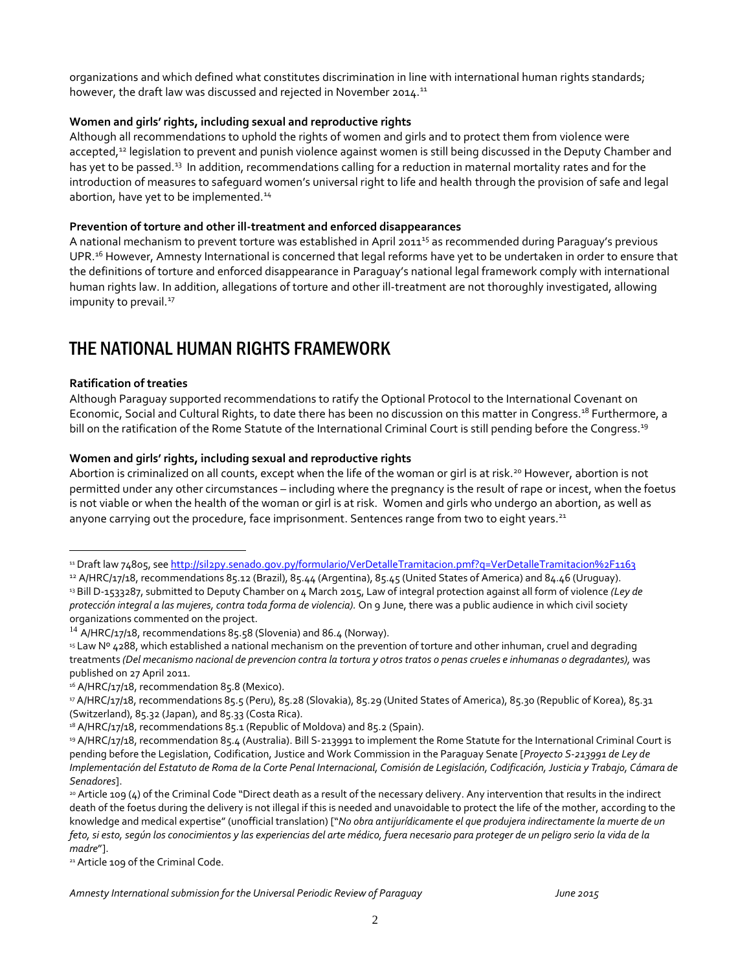organizations and which defined what constitutes discrimination in line with international human rights standards; however, the draft law was discussed and rejected in November 2014.<sup>11</sup>

#### **Women and girls' rights, including sexual and reproductive rights**

Although all recommendations to uphold the rights of women and girls and to protect them from violence were accepted,<sup>12</sup> legislation to prevent and punish violence against women is still being discussed in the Deputy Chamber and has yet to be passed.<sup>13</sup> In addition, recommendations calling for a reduction in maternal mortality rates and for the introduction of measures to safeguard women's universal right to life and health through the provision of safe and legal abortion, have yet to be implemented.<sup>14</sup>

#### **Prevention of torture and other ill-treatment and enforced disappearances**

A national mechanism to prevent torture was established in April 2011<sup>15</sup> as recommended during Paraguay's previous UPR.<sup>16</sup> However, Amnesty International is concerned that legal reforms have yet to be undertaken in order to ensure that the definitions of torture and enforced disappearance in Paraguay's national legal framework comply with international human rights law. In addition, allegations of torture and other ill-treatment are not thoroughly investigated, allowing impunity to prevail.<sup>17</sup>

## THE NATIONAL HUMAN RIGHTS FRAMEWORK

#### **Ratification of treaties**

 $\overline{a}$ 

Although Paraguay supported recommendations to ratify the Optional Protocol to the International Covenant on Economic, Social and Cultural Rights, to date there has been no discussion on this matter in Congress.<sup>18</sup> Furthermore, a bill on the ratification of the Rome Statute of the International Criminal Court is still pending before the Congress.<sup>19</sup>

#### **Women and girls' rights, including sexual and reproductive rights**

Abortion is criminalized on all counts, except when the life of the woman or girl is at risk.<sup>20</sup> However, abortion is not permitted under any other circumstances – including where the pregnancy is the result of rape or incest, when the foetus is not viable or when the health of the woman or girl is at risk. Women and girls who undergo an abortion, as well as anyone carrying out the procedure, face imprisonment. Sentences range from two to eight years.<sup>21</sup>

21 Article 109 of the Criminal Code.

<sup>&</sup>lt;sup>11</sup> Draft law 74805, se[e http://sil2py.senado.gov.py/formulario/VerDetalleTramitacion.pmf?q=VerDetalleTramitacion%2F1163](http://sil2py.senado.gov.py/formulario/VerDetalleTramitacion.pmf?q=VerDetalleTramitacion%2F1163)

<sup>&</sup>lt;sup>12</sup> A/HRC/17/18, recommendations 85.12 (Brazil), 85.44 (Argentina), 85.45 (United States of America) and 84.46 (Uruguay). <sup>13</sup> Bill D-1533287, submitted to Deputy Chamber on 4 March 2015, Law of integral protection against all form of violence *(Ley de protección integral a las mujeres, contra toda forma de violencia).* On 9 June, there was a public audience in which civil society organizations commented on the project.

 $14$  A/HRC/17/18, recommendations 85.58 (Slovenia) and 86.4 (Norway).

<sup>&</sup>lt;sup>15</sup> Law Nº 4288, which established a national mechanism on the prevention of torture and other inhuman, cruel and degrading treatments *(Del mecanismo nacional de prevencion contra la tortura y otros tratos o penas crueles e inhumanas o degradantes),* was published on 27 April 2011.

<sup>&</sup>lt;sup>16</sup> A/HRC/17/18, recommendation 85.8 (Mexico).

<sup>17</sup> A/HRC/17/18, recommendations 85.5 (Peru), 85.28 (Slovakia), 85.29 (United States of America), 85.30 (Republic of Korea), 85.31 (Switzerland), 85.32 (Japan), and 85.33 (Costa Rica).

<sup>18</sup> A/HRC/17/18, recommendations 85.1 (Republic of Moldova) and 85.2 (Spain).

<sup>19</sup> A/HRC/17/18, recommendation 85.4 (Australia). Bill S-213991 to implement the Rome Statute for the International Criminal Court is pending before the Legislation, Codification, Justice and Work Commission in the Paraguay Senate [*Proyecto S-213991 de Ley de Implementación del Estatuto de Roma de la Corte Penal Internacional, Comisión de Legislación, Codificación, Justicia y Trabajo, Cámara de Senadores*].

<sup>20</sup> Article 109 (4) of the Criminal Code "Direct death as a result of the necessary delivery. Any intervention that results in the indirect death of the foetus during the delivery is not illegal if this is needed and unavoidable to protect the life of the mother, according to the knowledge and medical expertise" (unofficial translation) ["*No obra antijurídicamente el que produjera indirectamente la muerte de un feto, si esto, según los conocimientos y las experiencias del arte médico, fuera necesario para proteger de un peligro serio la vida de la madre*"].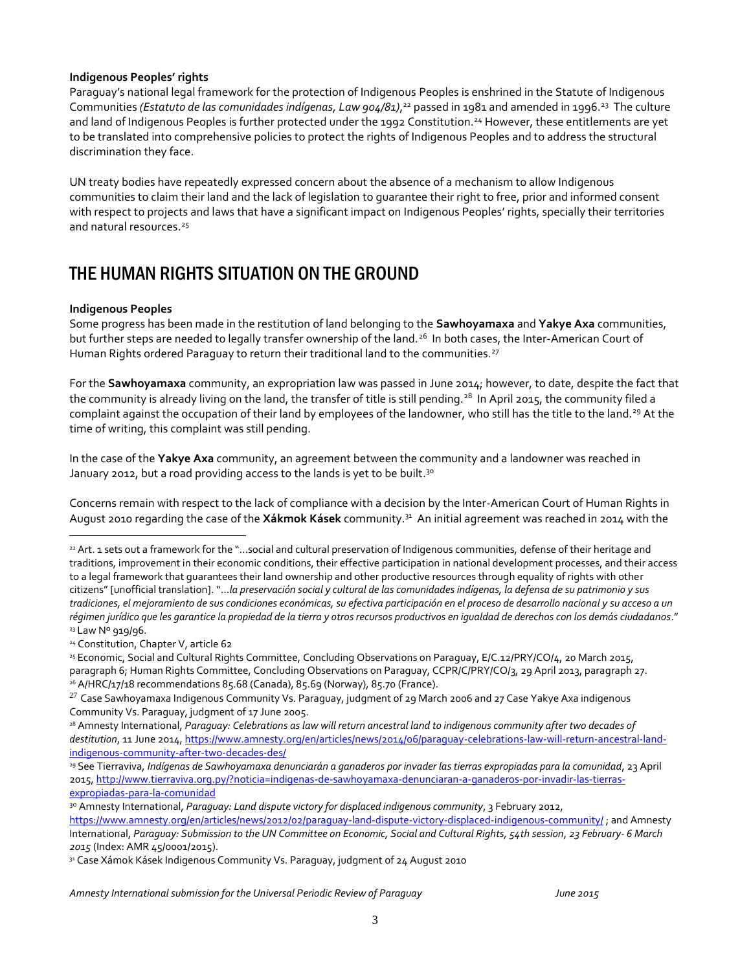#### **Indigenous Peoples' rights**

Paraguay's national legal framework for the protection of Indigenous Peoples is enshrined in the Statute of Indigenous Communities (Estatuto de las comunidades indígenas, Law 904/81),<sup>22</sup> passed in 1981 and amended in 1996.<sup>23</sup> The culture and land of Indigenous Peoples is further protected under the 1992 Constitution.<sup>24</sup> However, these entitlements are yet to be translated into comprehensive policies to protect the rights of Indigenous Peoples and to address the structural discrimination they face.

UN treaty bodies have repeatedly expressed concern about the absence of a mechanism to allow Indigenous communities to claim their land and the lack of legislation to guarantee their right to free, prior and informed consent with respect to projects and laws that have a significant impact on Indigenous Peoples' rights, specially their territories and natural resources. 25

## THE HUMAN RIGHTS SITUATION ON THE GROUND

#### **Indigenous Peoples**

 $\overline{a}$ 

Some progress has been made in the restitution of land belonging to the **Sawhoyamaxa** and **Yakye Axa** communities, but further steps are needed to legally transfer ownership of the land.<sup>26</sup> In both cases, the Inter-American Court of Human Rights ordered Paraguay to return their traditional land to the communities.<sup>27</sup>

For the **Sawhoyamaxa** community, an expropriation law was passed in June 2014; however, to date, despite the fact that the community is already living on the land, the transfer of title is still pending.<sup>28</sup> In April 2015, the community filed a complaint against the occupation of their land by employees of the landowner, who still has the title to the land.<sup>29</sup> At the time of writing, this complaint was still pending.

In the case of the **Yakye Axa** community, an agreement between the community and a landowner was reached in January 2012, but a road providing access to the lands is yet to be built.<sup>30</sup>

Concerns remain with respect to the lack of compliance with a decision by the Inter-American Court of Human Rights in August 2010 regarding the case of the **Xákmok Kásek** community.<sup>31</sup> An initial agreement was reached in 2014 with the

<sup>24</sup> Constitution, Chapter V, article 62

<sup>25</sup> Economic, Social and Cultural Rights Committee, Concluding Observations on Paraguay, E/C.12/PRY/CO/4, 20 March 2015, paragraph 6; Human Rights Committee, Concluding Observations on Paraguay, CCPR/C/PRY/CO/3, 29 April 2013, paragraph 27. <sup>26</sup> A/HRC/17/18 recommendations 85.68 (Canada), 85.69 (Norway), 85.70 (France).

<sup>22</sup> Art. 1 sets out a framework for the "…social and cultural preservation of Indigenous communities, defense of their heritage and traditions, improvement in their economic conditions, their effective participation in national development processes, and their access to a legal framework that guarantees their land ownership and other productive resources through equality of rights with other citizens" [unofficial translation]. "…*la preservación social y cultural de las comunidades indígenas, la defensa de su patrimonio y sus tradiciones, el mejoramiento de sus condiciones económicas, su efectiva participación en el proceso de desarrollo nacional y su acceso a un régimen jurídico que les garantice la propiedad de la tierra y otros recursos productivos en igualdad de derechos con los demás ciudadanos*." <sup>23</sup> Law Nº 919/96.

 $^{27}$  Case Sawhoyamaxa Indigenous Community Vs. Paraguay, judgment of 29 March 2006 and 27 Case Yakye Axa indigenous Community Vs. Paraguay, judgment of 17 June 2005.

<sup>28</sup> Amnesty International, *Paraguay: Celebrations as law will return ancestral land to indigenous community after two decades of destitution*, 11 June 2014, [https://www.amnesty.org/en/articles/news/2014/06/paraguay-celebrations-law-will-return-ancestral-land](https://www.amnesty.org/en/articles/news/2014/06/paraguay-celebrations-law-will-return-ancestral-land-indigenous-community-after-two-decades-des/)[indigenous-community-after-two-decades-des/](https://www.amnesty.org/en/articles/news/2014/06/paraguay-celebrations-law-will-return-ancestral-land-indigenous-community-after-two-decades-des/)

<sup>29</sup> See Tierraviva, *Indígenas de Sawhoyamaxa denunciarán a ganaderos por invader las tierras expropiadas para la comunidad*, 23 April 2015, [http://www.tierraviva.org.py/?noticia=indigenas-de-sawhoyamaxa-denunciaran-a-ganaderos-por-invadir-las-tierras](http://www.tierraviva.org.py/?noticia=indigenas-de-sawhoyamaxa-denunciaran-a-ganaderos-por-invadir-las-tierras-expropiadas-para-la-comunidad)[expropiadas-para-la-comunidad](http://www.tierraviva.org.py/?noticia=indigenas-de-sawhoyamaxa-denunciaran-a-ganaderos-por-invadir-las-tierras-expropiadas-para-la-comunidad)

<sup>&</sup>lt;sup>30</sup> Amnesty International, *Paraguay: Land dispute victory for displaced indigenous community*, 3 February 2012, <https://www.amnesty.org/en/articles/news/2012/02/paraguay-land-dispute-victory-displaced-indigenous-community/> ; and Amnesty International, *Paraguay: Submission to the UN Committee on Economic, Social and Cultural Rights, 54th session, 23 February- 6 March 2015* (Index: AMR 45/0001/2015).

<sup>31</sup> Case Xámok Kásek Indigenous Community Vs. Paraguay, judgment of 24 August 2010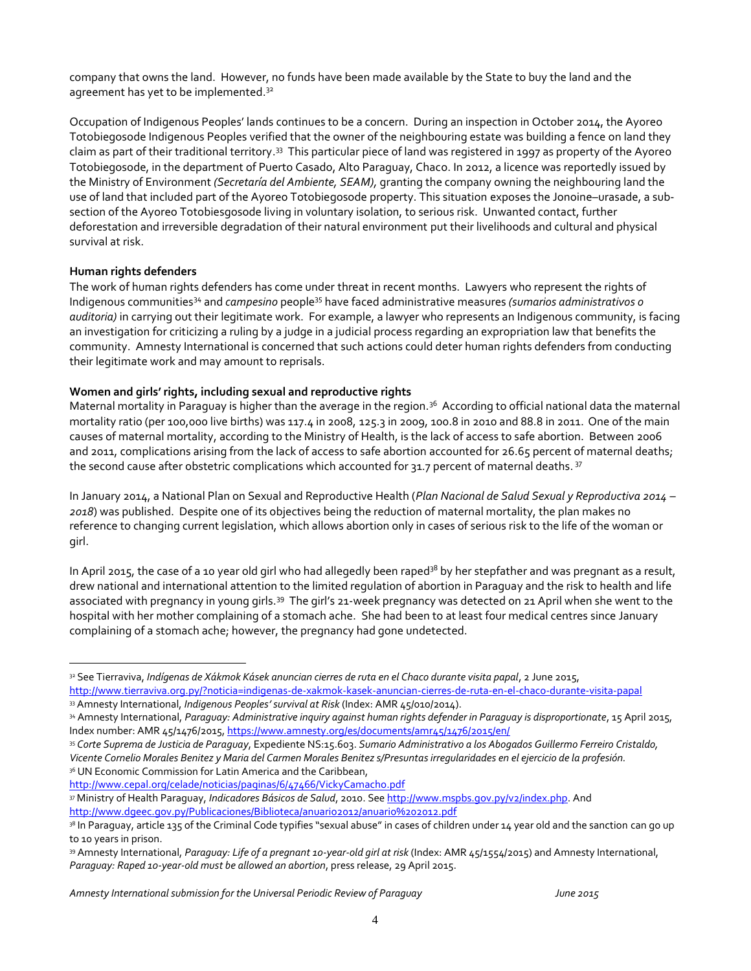company that owns the land. However, no funds have been made available by the State to buy the land and the agreement has yet to be implemented.<sup>32</sup>

Occupation of Indigenous Peoples' lands continues to be a concern. During an inspection in October 2014, the Ayoreo Totobiegosode Indigenous Peoples verified that the owner of the neighbouring estate was building a fence on land they claim as part of their traditional territory.<sup>33</sup> This particular piece of land was registered in 1997 as property of the Ayoreo Totobiegosode, in the department of Puerto Casado, Alto Paraguay, Chaco. In 2012, a licence was reportedly issued by the Ministry of Environment *(Secretaría del Ambiente, SEAM),* granting the company owning the neighbouring land the use of land that included part of the Ayoreo Totobiegosode property. This situation exposes the Jonoine–urasade, a subsection of the Ayoreo Totobiesgosode living in voluntary isolation, to serious risk. Unwanted contact, further deforestation and irreversible degradation of their natural environment put their livelihoods and cultural and physical survival at risk.

#### **Human rights defenders**

 $\overline{a}$ 

The work of human rights defenders has come under threat in recent months. Lawyers who represent the rights of Indigenous communities<sup>34</sup> and *campesino* people<sup>35</sup> have faced administrative measures *(sumarios administrativos o auditoria)* in carrying out their legitimate work. For example, a lawyer who represents an Indigenous community, is facing an investigation for criticizing a ruling by a judge in a judicial process regarding an expropriation law that benefits the community. Amnesty International is concerned that such actions could deter human rights defenders from conducting their legitimate work and may amount to reprisals.

#### **Women and girls' rights, including sexual and reproductive rights**

Maternal mortality in Paraguay is higher than the average in the region.<sup>36</sup> According to official national data the maternal mortality ratio (per 100,000 live births) was 117.4 in 2008, 125.3 in 2009, 100.8 in 2010 and 88.8 in 2011. One of the main causes of maternal mortality, according to the Ministry of Health, is the lack of access to safe abortion. Between 2006 and 2011, complications arising from the lack of access to safe abortion accounted for 26.65 percent of maternal deaths; the second cause after obstetric complications which accounted for 31.7 percent of maternal deaths. <sup>37</sup>

In January 2014, a National Plan on Sexual and Reproductive Health (*Plan Nacional de Salud Sexual y Reproductiva 2014 – 2018*) was published. Despite one of its objectives being the reduction of maternal mortality, the plan makes no reference to changing current legislation, which allows abortion only in cases of serious risk to the life of the woman or girl.

In April 2015, the case of a 10 year old girl who had allegedly been raped<sup>38</sup> by her stepfather and was pregnant as a result, drew national and international attention to the limited regulation of abortion in Paraguay and the risk to health and life associated with pregnancy in young girls.<sup>39</sup> The girl's 21-week pregnancy was detected on 21 April when she went to the hospital with her mother complaining of a stomach ache. She had been to at least four medical centres since January complaining of a stomach ache; however, the pregnancy had gone undetected.

<sup>35</sup> *Corte Suprema de Justicia de Paraguay*, Expediente NS:15.603. *Sumario Administrativo a los Abogados Guillermo Ferreiro Cristaldo, Vicente Cornelio Morales Benitez y Maria del Carmen Morales Benitez s/Presuntas irregularidades en el ejercicio de la profesión.* 36 UN Economic Commission for Latin America and the Caribbean,

<http://www.cepal.org/celade/noticias/paginas/6/47466/VickyCamacho.pdf>

<sup>37</sup> Ministry of Health Paraguay, *Indicadores Básicos de Salud*, 2010. See [http://www.mspbs.gov.py/v2/index.php.](http://www.mspbs.gov.py/v2/index.php) And <http://www.dgeec.gov.py/Publicaciones/Biblioteca/anuario2012/anuario%202012.pdf>

<sup>32</sup> See Tierraviva, *Indígenas de Xákmok Kásek anuncian cierres de ruta en el Chaco durante visita papal*, 2 June 2015, <http://www.tierraviva.org.py/?noticia=indigenas-de-xakmok-kasek-anuncian-cierres-de-ruta-en-el-chaco-durante-visita-papal>

<sup>33</sup> Amnesty International, *Indigenous Peoples' survival at Risk* (Index: AMR 45/010/2014).

<sup>34</sup> Amnesty International, Paraguay: Administrative inquiry against human rights defender in Paraguay is disproportionate, 15 April 2015, Index number: AMR 45/1476/2015[, https://www.amnesty.org/es/documents/amr45/1476/2015/en/](https://www.amnesty.org/es/documents/amr45/1476/2015/en/)

<sup>&</sup>lt;sup>38</sup> In Paraguay, article 135 of the Criminal Code typifies "sexual abuse" in cases of children under 14 year old and the sanction can go up to 10 years in prison.

<sup>39</sup> Amnesty International, *Paraguay: Life of a pregnant 10-year-old girl at risk* (Index: AMR 45/1554/2015) and Amnesty International, *Paraguay: Raped 10-year-old must be allowed an abortion*, press release, 29 April 2015.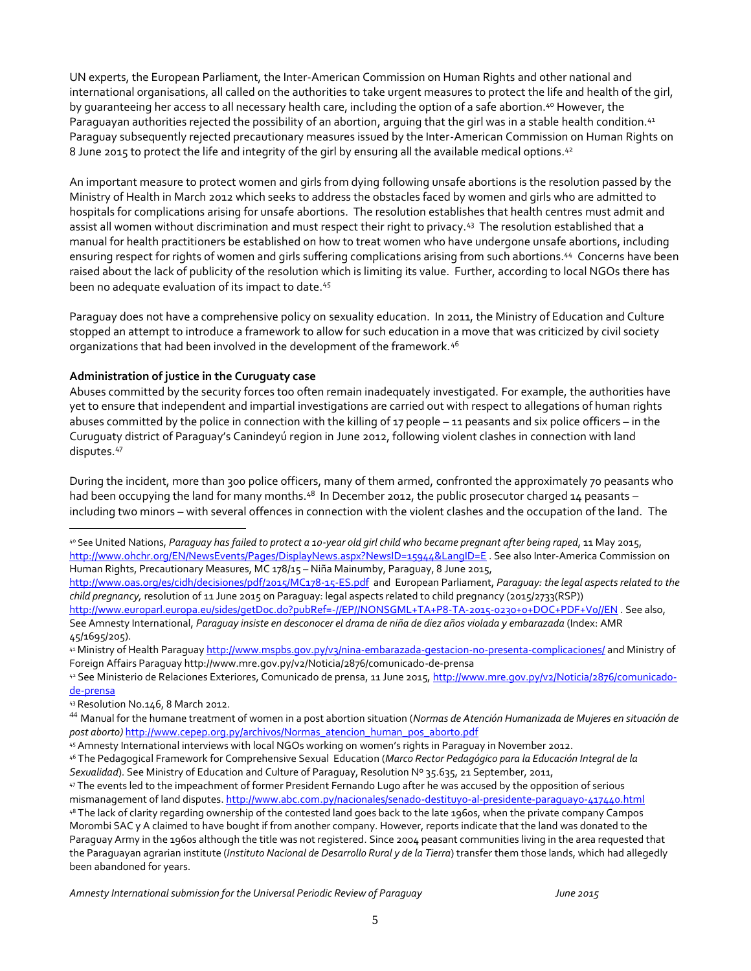UN experts, the European Parliament, the Inter-American Commission on Human Rights and other national and international organisations, all called on the authorities to take urgent measures to protect the life and health of the girl, by guaranteeing her access to all necessary health care, including the option of a safe abortion.<sup>40</sup> However, the Paraguayan authorities rejected the possibility of an abortion, arguing that the girl was in a stable health condition.<sup>41</sup> Paraguay subsequently rejected precautionary measures issued by the Inter-American Commission on Human Rights on  $8$  June 2015 to protect the life and integrity of the girl by ensuring all the available medical options. $\rm ^{42}$ 

An important measure to protect women and girls from dying following unsafe abortions is the resolution passed by the Ministry of Health in March 2012 which seeks to address the obstacles faced by women and girls who are admitted to hospitals for complications arising for unsafe abortions. The resolution establishes that health centres must admit and assist all women without discrimination and must respect their right to privacy.<sup>43</sup> The resolution established that a manual for health practitioners be established on how to treat women who have undergone unsafe abortions, including ensuring respect for rights of women and girls suffering complications arising from such abortions. <sup>44</sup> Concerns have been raised about the lack of publicity of the resolution which is limiting its value. Further, according to local NGOs there has been no adequate evaluation of its impact to date.<sup>45</sup>

Paraguay does not have a comprehensive policy on sexuality education. In 2011, the Ministry of Education and Culture stopped an attempt to introduce a framework to allow for such education in a move that was criticized by civil society organizations that had been involved in the development of the framework.<sup>46</sup>

#### **Administration of justice in the Curuguaty case**

Abuses committed by the security forces too often remain inadequately investigated. For example, the authorities have yet to ensure that independent and impartial investigations are carried out with respect to allegations of human rights abuses committed by the police in connection with the killing of 17 people – 11 peasants and six police officers – in the Curuguaty district of Paraguay's Canindeyú region in June 2012, following violent clashes in connection with land disputes. 47

During the incident, more than 300 police officers, many of them armed, confronted the approximately 70 peasants who had been occupying the land for many months.<sup>48</sup> In December 2012, the public prosecutor charged 14 peasants – including two minors – with several offences in connection with the violent clashes and the occupation of the land. The

- <http://www.oas.org/es/cidh/decisiones/pdf/2015/MC178-15-ES.pdf> and European Parliament, *Paraguay: the legal aspects related to the child pregnancy,* resolution of 11 June 2015 on Paraguay: legal aspects related to child pregnancy (2015/2733(RSP)) <http://www.europarl.europa.eu/sides/getDoc.do?pubRef=-//EP//NONSGML+TA+P8-TA-2015-0230+0+DOC+PDF+V0//EN> . See also,
- See Amnesty International, *Paraguay insiste en desconocer el drama de niña de diez años violada y embarazada* (Index: AMR 45/1695/205).

<sup>41</sup> Ministry of Health Paragua[y http://www.mspbs.gov.py/v3/nina-embarazada-gestacion-no-presenta-complicaciones/](http://www.mspbs.gov.py/v3/nina-embarazada-gestacion-no-presenta-complicaciones/) and Ministry of Foreign Affairs Paraguay http://www.mre.gov.py/v2/Noticia/2876/comunicado-de-prensa

<sup>43</sup> Resolution No.146, 8 March 2012.

 $\overline{a}$ 

<sup>40</sup> See United Nations, *Paraguay has failed to protect a 10-year old girl child who became pregnant after being raped*, 11 May 2015, <http://www.ohchr.org/EN/NewsEvents/Pages/DisplayNews.aspx?NewsID=15944&LangID=E> . See also Inter-America Commission on Human Rights, Precautionary Measures, MC 178/15 – Niña Mainumby, Paraguay, 8 June 2015,

<sup>42</sup> See Ministerio de Relaciones Exteriores, Comunicado de prensa, 11 June 2015, [http://www.mre.gov.py/v2/Noticia/2876/comunicado](http://www.mre.gov.py/v2/Noticia/2876/comunicado-de-prensa)[de-prensa](http://www.mre.gov.py/v2/Noticia/2876/comunicado-de-prensa)

<sup>44</sup> Manual for the humane treatment of women in a post abortion situation (*Normas de Atención Humanizada de Mujeres en situación de post aborto)* [http://www.cepep.org.py/archivos/Normas\\_atencion\\_human\\_pos\\_aborto.pdf](http://www.cepep.org.py/archivos/Normas_atencion_human_pos_aborto.pdf)

<sup>45</sup> Amnesty International interviews with local NGOs working on women's rights in Paraguay in November 2012.

<sup>46</sup> The Pedagogical Framework for Comprehensive Sexual Education (*Marco Rector Pedagógico para la Educación Integral de la Sexualidad*). See Ministry of Education and Culture of Paraguay, Resolution Nº 35.635, 21 September, 2011,

<sup>47</sup> The events led to the impeachment of former President Fernando Lugo after he was accused by the opposition of serious mismanagement of land disputes[. http://www.abc.com.py/nacionales/senado-destituyo-al-presidente-paraguayo-417440.html](http://www.abc.com.py/nacionales/senado-destituyo-al-presidente-paraguayo-417440.html) <sup>48</sup> The lack of clarity regarding ownership of the contested land goes back to the late 1960s, when the private company Campos Morombi SAC y A claimed to have bought if from another company. However, reports indicate that the land was donated to the Paraguay Army in the 1960s although the title was not registered. Since 2004 peasant communities living in the area requested that

the Paraguayan agrarian institute (*Instituto Nacional de Desarrollo Rural y de la Tierra*) transfer them those lands, which had allegedly been abandoned for years.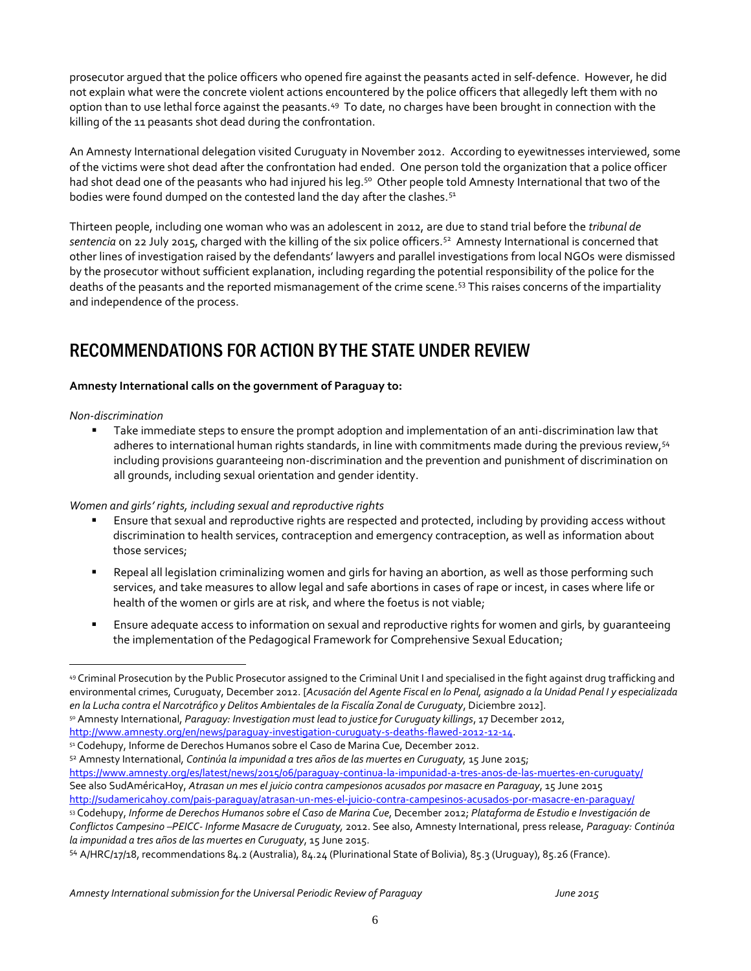prosecutor argued that the police officers who opened fire against the peasants acted in self-defence. However, he did not explain what were the concrete violent actions encountered by the police officers that allegedly left them with no option than to use lethal force against the peasants.<sup>49</sup> To date, no charges have been brought in connection with the killing of the 11 peasants shot dead during the confrontation.

An Amnesty International delegation visited Curuguaty in November 2012. According to eyewitnesses interviewed, some of the victims were shot dead after the confrontation had ended. One person told the organization that a police officer had shot dead one of the peasants who had injured his leg.<sup>50</sup> Other people told Amnesty International that two of the bodies were found dumped on the contested land the day after the clashes.<sup>51</sup>

Thirteen people, including one woman who was an adolescent in 2012, are due to stand trial before the *tribunal de sentencia* on 22 July 2015, charged with the killing of the six police officers.<sup>52</sup> Amnesty International is concerned that other lines of investigation raised by the defendants' lawyers and parallel investigations from local NGOs were dismissed by the prosecutor without sufficient explanation, including regarding the potential responsibility of the police for the deaths of the peasants and the reported mismanagement of the crime scene.<sup>53</sup> This raises concerns of the impartiality and independence of the process.

# RECOMMENDATIONS FOR ACTION BY THE STATE UNDER REVIEW

#### **Amnesty International calls on the government of Paraguay to:**

*Non-discrimination* 

 $\overline{a}$ 

 Take immediate steps to ensure the prompt adoption and implementation of an anti-discrimination law that adheres to international human rights standards, in line with commitments made during the previous review, <sup>54</sup> including provisions guaranteeing non-discrimination and the prevention and punishment of discrimination on all grounds, including sexual orientation and gender identity.

*Women and girls' rights, including sexual and reproductive rights* 

- Ensure that sexual and reproductive rights are respected and protected, including by providing access without discrimination to health services, contraception and emergency contraception, as well as information about those services;
- Repeal all legislation criminalizing women and girls for having an abortion, as well as those performing such services, and take measures to allow legal and safe abortions in cases of rape or incest, in cases where life or health of the women or girls are at risk, and where the foetus is not viable;
- Ensure adequate access to information on sexual and reproductive rights for women and girls, by guaranteeing the implementation of the Pedagogical Framework for Comprehensive Sexual Education;

<https://www.amnesty.org/es/latest/news/2015/06/paraguay-continua-la-impunidad-a-tres-anos-de-las-muertes-en-curuguaty/> See also SudAméricaHoy, *Atrasan un mes el juicio contra campesionos acusados por masacre en Paraguay*, 15 June 2015 <http://sudamericahoy.com/pais-paraguay/atrasan-un-mes-el-juicio-contra-campesinos-acusados-por-masacre-en-paraguay/>

<sup>53</sup> Codehupy, *Informe de Derechos Humanos sobre el Caso de Marina Cue*, December 2012; *Plataforma de Estudio e Investigación de Conflictos Campesino –PEICC- Informe Masacre de Curuguaty,* 2012. See also, Amnesty International, press release, *Paraguay: Continúa la impunidad a tres años de las muertes en Curuguaty*, 15 June 2015.

<sup>54</sup> A/HRC/17/18, recommendations 84.2 (Australia), 84.24 (Plurinational State of Bolivia), 85.3 (Uruguay), 85.26 (France).

<sup>49</sup> Criminal Prosecution by the Public Prosecutor assigned to the Criminal Unit I and specialised in the fight against drug trafficking and environmental crimes, Curuguaty, December 2012. [*Acusación del Agente Fiscal en lo Penal, asignado a la Unidad Penal I y especializada en la Lucha contra el Narcotráfico y Delitos Ambientales de la Fiscalía Zonal de Curuguaty*, Diciembre 2012].

<sup>50</sup> Amnesty International, *Paraguay: Investigation must lead to justice for Curuguaty killings*, 17 December 2012, [http://www.amnesty.org/en/news/paraguay-investigation-curuguaty-s-deaths-flawed-2012-12-14.](http://www.amnesty.org/en/news/paraguay-investigation-curuguaty-s-deaths-flawed-2012-12-14)

<sup>51</sup> Codehupy, Informe de Derechos Humanos sobre el Caso de Marina Cue, December 2012.

<sup>52</sup> Amnesty International, *Continúa la impunidad a tres años de las muertes en Curuguaty,* 15 June 2015;